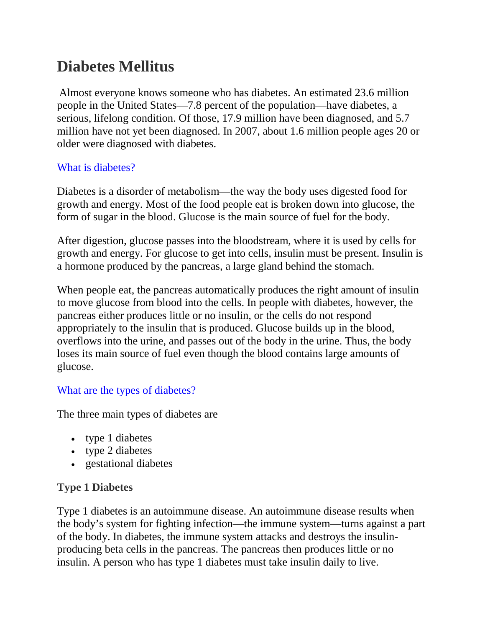# **Diabetes Mellitus**

Almost everyone knows someone who has diabetes. An estimated 23.6 million people in the United States—7.8 percent of the population—have diabetes, a serious, lifelong condition. Of those, 17.9 million have been diagnosed, and 5.7 million have not yet been diagnosed. In 2007, about 1.6 million people ages 20 or older were diagnosed with diabetes.

## What is diabetes?

Diabetes is a disorder of metabolism—the way the body uses digested food for growth and energy. Most of the food people eat is broken down into glucose, the form of sugar in the blood. Glucose is the main source of fuel for the body.

After digestion, glucose passes into the bloodstream, where it is used by cells for growth and energy. For glucose to get into cells, insulin must be present. Insulin is a hormone produced by the pancreas, a large gland behind the stomach.

When people eat, the pancreas automatically produces the right amount of insulin to move glucose from blood into the cells. In people with diabetes, however, the pancreas either produces little or no insulin, or the cells do not respond appropriately to the insulin that is produced. Glucose builds up in the blood, overflows into the urine, and passes out of the body in the urine. Thus, the body loses its main source of fuel even though the blood contains large amounts of glucose.

# What are the types of diabetes?

The three main types of diabetes are

- type 1 diabetes
- type 2 diabetes
- gestational diabetes

# **Type 1 Diabetes**

Type 1 diabetes is an autoimmune disease. An autoimmune disease results when the body's system for fighting infection—the immune system—turns against a part of the body. In diabetes, the immune system attacks and destroys the insulinproducing beta cells in the pancreas. The pancreas then produces little or no insulin. A person who has type 1 diabetes must take insulin daily to live.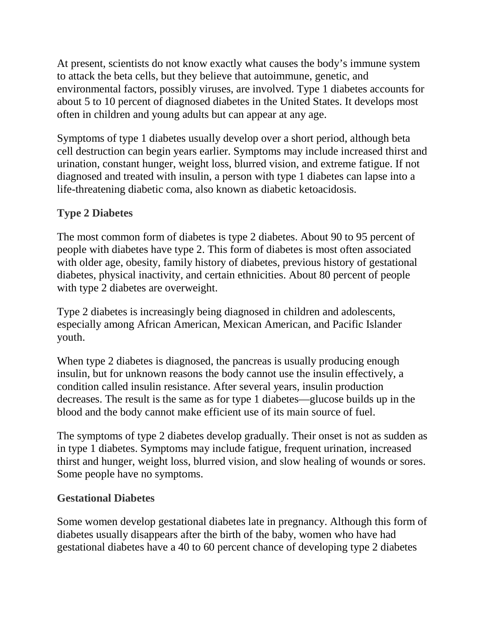At present, scientists do not know exactly what causes the body's immune system to attack the beta cells, but they believe that autoimmune, genetic, and environmental factors, possibly viruses, are involved. Type 1 diabetes accounts for about 5 to 10 percent of diagnosed diabetes in the United States. It develops most often in children and young adults but can appear at any age.

Symptoms of type 1 diabetes usually develop over a short period, although beta cell destruction can begin years earlier. Symptoms may include increased thirst and urination, constant hunger, weight loss, blurred vision, and extreme fatigue. If not diagnosed and treated with insulin, a person with type 1 diabetes can lapse into a life-threatening diabetic coma, also known as diabetic ketoacidosis.

## **Type 2 Diabetes**

The most common form of diabetes is type 2 diabetes. About 90 to 95 percent of people with diabetes have type 2. This form of diabetes is most often associated with older age, obesity, family history of diabetes, previous history of gestational diabetes, physical inactivity, and certain ethnicities. About 80 percent of people with type 2 diabetes are overweight.

Type 2 diabetes is increasingly being diagnosed in children and adolescents, especially among African American, Mexican American, and Pacific Islander youth.

When type 2 diabetes is diagnosed, the pancreas is usually producing enough insulin, but for unknown reasons the body cannot use the insulin effectively, a condition called insulin resistance. After several years, insulin production decreases. The result is the same as for type 1 diabetes—glucose builds up in the blood and the body cannot make efficient use of its main source of fuel.

The symptoms of type 2 diabetes develop gradually. Their onset is not as sudden as in type 1 diabetes. Symptoms may include fatigue, frequent urination, increased thirst and hunger, weight loss, blurred vision, and slow healing of wounds or sores. Some people have no symptoms.

#### **Gestational Diabetes**

Some women develop gestational diabetes late in pregnancy. Although this form of diabetes usually disappears after the birth of the baby, women who have had gestational diabetes have a 40 to 60 percent chance of developing type 2 diabetes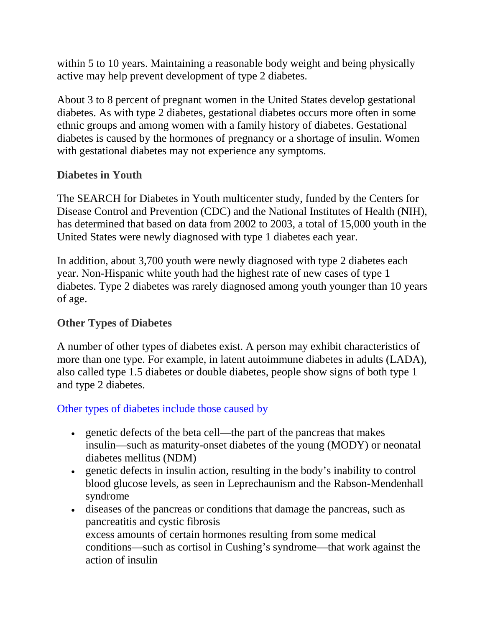within 5 to 10 years. Maintaining a reasonable body weight and being physically active may help prevent development of type 2 diabetes.

About 3 to 8 percent of pregnant women in the United States develop gestational diabetes. As with type 2 diabetes, gestational diabetes occurs more often in some ethnic groups and among women with a family history of diabetes. Gestational diabetes is caused by the hormones of pregnancy or a shortage of insulin. Women with gestational diabetes may not experience any symptoms.

## **Diabetes in Youth**

The SEARCH for Diabetes in Youth multicenter study, funded by the Centers for Disease Control and Prevention (CDC) and the National Institutes of Health (NIH), has determined that based on data from 2002 to 2003, a total of 15,000 youth in the United States were newly diagnosed with type 1 diabetes each year.

In addition, about 3,700 youth were newly diagnosed with type 2 diabetes each year. Non-Hispanic white youth had the highest rate of new cases of type 1 diabetes. Type 2 diabetes was rarely diagnosed among youth younger than 10 years of age.

## **Other Types of Diabetes**

A number of other types of diabetes exist. A person may exhibit characteristics of more than one type. For example, in latent autoimmune diabetes in adults (LADA), also called type 1.5 diabetes or double diabetes, people show signs of both type 1 and type 2 diabetes.

# Other types of diabetes include those caused by

- genetic defects of the beta cell—the part of the pancreas that makes insulin—such as maturity-onset diabetes of the young (MODY) or neonatal diabetes mellitus (NDM)
- genetic defects in insulin action, resulting in the body's inability to control blood glucose levels, as seen in Leprechaunism and the Rabson-Mendenhall syndrome
- diseases of the pancreas or conditions that damage the pancreas, such as pancreatitis and cystic fibrosis excess amounts of certain hormones resulting from some medical conditions—such as cortisol in Cushing's syndrome—that work against the action of insulin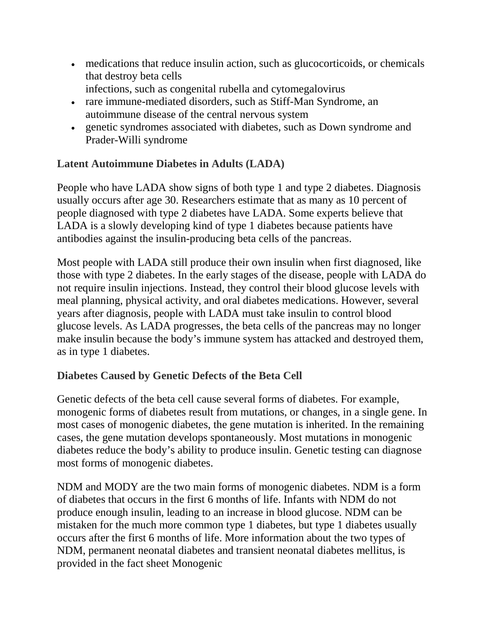- medications that reduce insulin action, such as glucocorticoids, or chemicals that destroy beta cells
	- infections, such as congenital rubella and cytomegalovirus
- rare immune-mediated disorders, such as Stiff-Man Syndrome, an autoimmune disease of the central nervous system
- genetic syndromes associated with diabetes, such as Down syndrome and Prader-Willi syndrome

# **Latent Autoimmune Diabetes in Adults (LADA)**

People who have LADA show signs of both type 1 and type 2 diabetes. Diagnosis usually occurs after age 30. Researchers estimate that as many as 10 percent of people diagnosed with type 2 diabetes have LADA. Some experts believe that LADA is a slowly developing kind of type 1 diabetes because patients have antibodies against the insulin-producing beta cells of the pancreas.

Most people with LADA still produce their own insulin when first diagnosed, like those with type 2 diabetes. In the early stages of the disease, people with LADA do not require insulin injections. Instead, they control their blood glucose levels with meal planning, physical activity, and oral diabetes medications. However, several years after diagnosis, people with LADA must take insulin to control blood glucose levels. As LADA progresses, the beta cells of the pancreas may no longer make insulin because the body's immune system has attacked and destroyed them, as in type 1 diabetes.

# **Diabetes Caused by Genetic Defects of the Beta Cell**

Genetic defects of the beta cell cause several forms of diabetes. For example, monogenic forms of diabetes result from mutations, or changes, in a single gene. In most cases of monogenic diabetes, the gene mutation is inherited. In the remaining cases, the gene mutation develops spontaneously. Most mutations in monogenic diabetes reduce the body's ability to produce insulin. Genetic testing can diagnose most forms of monogenic diabetes.

NDM and MODY are the two main forms of monogenic diabetes. NDM is a form of diabetes that occurs in the first 6 months of life. Infants with NDM do not produce enough insulin, leading to an increase in blood glucose. NDM can be mistaken for the much more common type 1 diabetes, but type 1 diabetes usually occurs after the first 6 months of life. More information about the two types of NDM, permanent neonatal diabetes and transient neonatal diabetes mellitus, is provided in the fact sheet Monogenic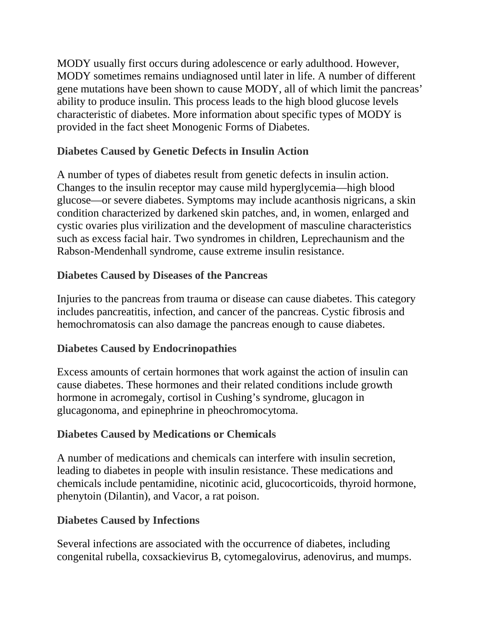MODY usually first occurs during adolescence or early adulthood. However, MODY sometimes remains undiagnosed until later in life. A number of different gene mutations have been shown to cause MODY, all of which limit the pancreas' ability to produce insulin. This process leads to the high blood glucose levels characteristic of diabetes. More information about specific types of MODY is provided in the fact sheet Monogenic Forms of Diabetes.

## **Diabetes Caused by Genetic Defects in Insulin Action**

A number of types of diabetes result from genetic defects in insulin action. Changes to the insulin receptor may cause mild hyperglycemia—high blood glucose—or severe diabetes. Symptoms may include acanthosis nigricans, a skin condition characterized by darkened skin patches, and, in women, enlarged and cystic ovaries plus virilization and the development of masculine characteristics such as excess facial hair. Two syndromes in children, Leprechaunism and the Rabson-Mendenhall syndrome, cause extreme insulin resistance.

## **Diabetes Caused by Diseases of the Pancreas**

Injuries to the pancreas from trauma or disease can cause diabetes. This category includes pancreatitis, infection, and cancer of the pancreas. Cystic fibrosis and hemochromatosis can also damage the pancreas enough to cause diabetes.

## **Diabetes Caused by Endocrinopathies**

Excess amounts of certain hormones that work against the action of insulin can cause diabetes. These hormones and their related conditions include growth hormone in acromegaly, cortisol in Cushing's syndrome, glucagon in glucagonoma, and epinephrine in pheochromocytoma.

# **Diabetes Caused by Medications or Chemicals**

A number of medications and chemicals can interfere with insulin secretion, leading to diabetes in people with insulin resistance. These medications and chemicals include pentamidine, nicotinic acid, glucocorticoids, thyroid hormone, phenytoin (Dilantin), and Vacor, a rat poison.

## **Diabetes Caused by Infections**

Several infections are associated with the occurrence of diabetes, including congenital rubella, coxsackievirus B, cytomegalovirus, adenovirus, and mumps.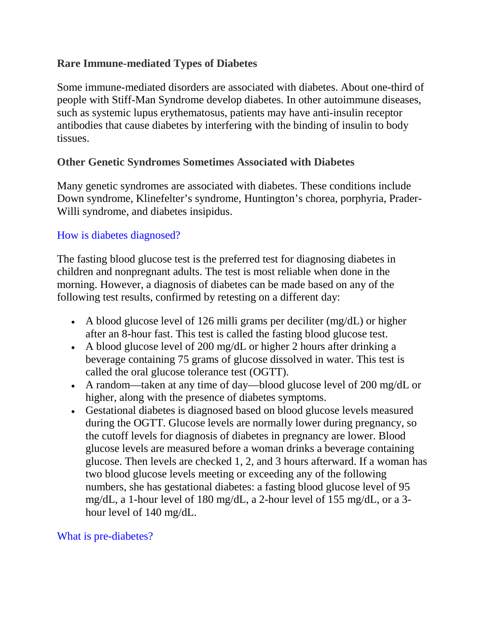#### **Rare Immune-mediated Types of Diabetes**

Some immune-mediated disorders are associated with diabetes. About one-third of people with Stiff-Man Syndrome develop diabetes. In other autoimmune diseases, such as systemic lupus erythematosus, patients may have anti-insulin receptor antibodies that cause diabetes by interfering with the binding of insulin to body tissues.

#### **Other Genetic Syndromes Sometimes Associated with Diabetes**

Many genetic syndromes are associated with diabetes. These conditions include Down syndrome, Klinefelter's syndrome, Huntington's chorea, porphyria, Prader-Willi syndrome, and diabetes insipidus.

#### How is diabetes diagnosed?

The fasting blood glucose test is the preferred test for diagnosing diabetes in children and nonpregnant adults. The test is most reliable when done in the morning. However, a diagnosis of diabetes can be made based on any of the following test results, confirmed by retesting on a different day:

- A blood glucose level of 126 milli grams per deciliter (mg/dL) or higher after an 8-hour fast. This test is called the fasting blood glucose test.
- A blood glucose level of 200 mg/dL or higher 2 hours after drinking a beverage containing 75 grams of glucose dissolved in water. This test is called the oral glucose tolerance test (OGTT).
- A random—taken at any time of day—blood glucose level of 200 mg/dL or higher, along with the presence of diabetes symptoms.
- Gestational diabetes is diagnosed based on blood glucose levels measured during the OGTT. Glucose levels are normally lower during pregnancy, so the cutoff levels for diagnosis of diabetes in pregnancy are lower. Blood glucose levels are measured before a woman drinks a beverage containing glucose. Then levels are checked 1, 2, and 3 hours afterward. If a woman has two blood glucose levels meeting or exceeding any of the following numbers, she has gestational diabetes: a fasting blood glucose level of 95 mg/dL, a 1-hour level of 180 mg/dL, a 2-hour level of 155 mg/dL, or a 3 hour level of 140 mg/dL.

What is pre-diabetes?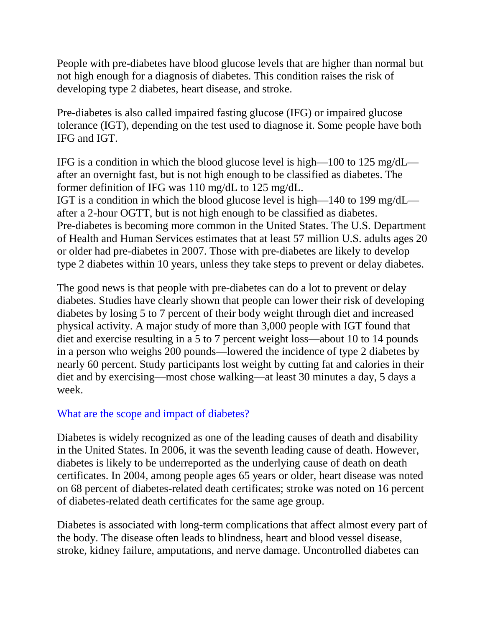People with pre-diabetes have blood glucose levels that are higher than normal but not high enough for a diagnosis of diabetes. This condition raises the risk of developing type 2 diabetes, heart disease, and stroke.

Pre-diabetes is also called impaired fasting glucose (IFG) or impaired glucose tolerance (IGT), depending on the test used to diagnose it. Some people have both IFG and IGT.

IFG is a condition in which the blood glucose level is high—100 to 125 mg/dL after an overnight fast, but is not high enough to be classified as diabetes. The former definition of IFG was 110 mg/dL to 125 mg/dL. IGT is a condition in which the blood glucose level is high—140 to 199 mg/dL after a 2-hour OGTT, but is not high enough to be classified as diabetes. Pre-diabetes is becoming more common in the United States. The U.S. Department of Health and Human Services estimates that at least 57 million U.S. adults ages 20 or older had pre-diabetes in 2007. Those with pre-diabetes are likely to develop type 2 diabetes within 10 years, unless they take steps to prevent or delay diabetes.

The good news is that people with pre-diabetes can do a lot to prevent or delay diabetes. Studies have clearly shown that people can lower their risk of developing diabetes by losing 5 to 7 percent of their body weight through diet and increased physical activity. A major study of more than 3,000 people with IGT found that diet and exercise resulting in a 5 to 7 percent weight loss—about 10 to 14 pounds in a person who weighs 200 pounds—lowered the incidence of type 2 diabetes by nearly 60 percent. Study participants lost weight by cutting fat and calories in their diet and by exercising—most chose walking—at least 30 minutes a day, 5 days a week.

## What are the scope and impact of diabetes?

Diabetes is widely recognized as one of the leading causes of death and disability in the United States. In 2006, it was the seventh leading cause of death. However, diabetes is likely to be underreported as the underlying cause of death on death certificates. In 2004, among people ages 65 years or older, heart disease was noted on 68 percent of diabetes-related death certificates; stroke was noted on 16 percent of diabetes-related death certificates for the same age group.

Diabetes is associated with long-term complications that affect almost every part of the body. The disease often leads to blindness, heart and blood vessel disease, stroke, kidney failure, amputations, and nerve damage. Uncontrolled diabetes can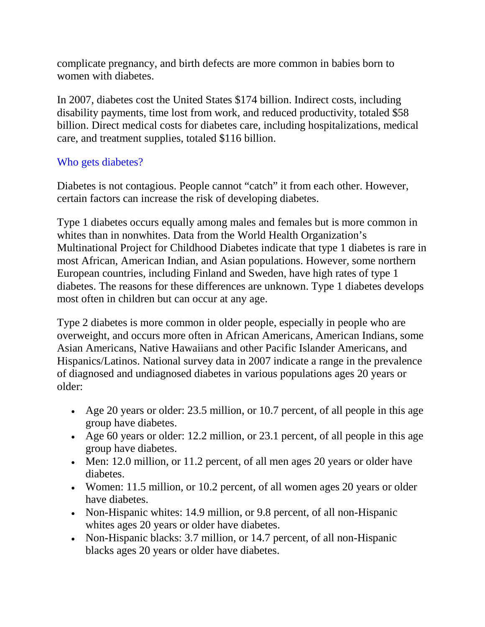complicate pregnancy, and birth defects are more common in babies born to women with diabetes.

In 2007, diabetes cost the United States \$174 billion. Indirect costs, including disability payments, time lost from work, and reduced productivity, totaled \$58 billion. Direct medical costs for diabetes care, including hospitalizations, medical care, and treatment supplies, totaled \$116 billion.

## Who gets diabetes?

Diabetes is not contagious. People cannot "catch" it from each other. However, certain factors can increase the risk of developing diabetes.

Type 1 diabetes occurs equally among males and females but is more common in whites than in nonwhites. Data from the World Health Organization's Multinational Project for Childhood Diabetes indicate that type 1 diabetes is rare in most African, American Indian, and Asian populations. However, some northern European countries, including Finland and Sweden, have high rates of type 1 diabetes. The reasons for these differences are unknown. Type 1 diabetes develops most often in children but can occur at any age.

Type 2 diabetes is more common in older people, especially in people who are overweight, and occurs more often in African Americans, American Indians, some Asian Americans, Native Hawaiians and other Pacific Islander Americans, and Hispanics/Latinos. National survey data in 2007 indicate a range in the prevalence of diagnosed and undiagnosed diabetes in various populations ages 20 years or older:

- Age 20 years or older: 23.5 million, or 10.7 percent, of all people in this age group have diabetes.
- Age 60 years or older: 12.2 million, or 23.1 percent, of all people in this age group have diabetes.
- Men: 12.0 million, or 11.2 percent, of all men ages 20 years or older have diabetes.
- Women: 11.5 million, or 10.2 percent, of all women ages 20 years or older have diabetes.
- Non-Hispanic whites: 14.9 million, or 9.8 percent, of all non-Hispanic whites ages 20 years or older have diabetes.
- Non-Hispanic blacks: 3.7 million, or 14.7 percent, of all non-Hispanic blacks ages 20 years or older have diabetes.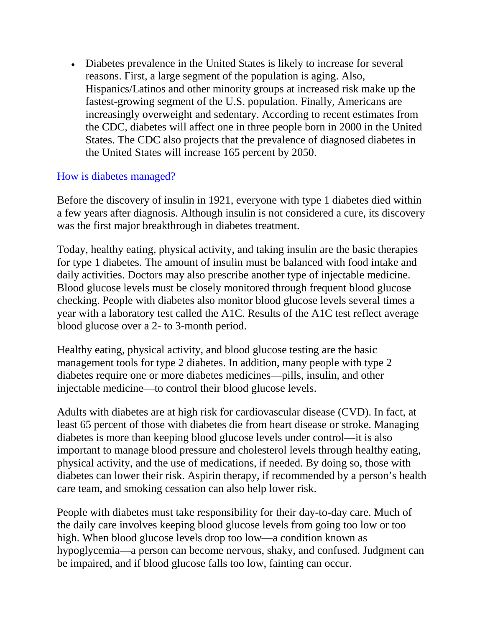• Diabetes prevalence in the United States is likely to increase for several reasons. First, a large segment of the population is aging. Also, Hispanics/Latinos and other minority groups at increased risk make up the fastest-growing segment of the U.S. population. Finally, Americans are increasingly overweight and sedentary. According to recent estimates from the CDC, diabetes will affect one in three people born in 2000 in the United States. The CDC also projects that the prevalence of diagnosed diabetes in the United States will increase 165 percent by 2050.

#### How is diabetes managed?

Before the discovery of insulin in 1921, everyone with type 1 diabetes died within a few years after diagnosis. Although insulin is not considered a cure, its discovery was the first major breakthrough in diabetes treatment.

Today, healthy eating, physical activity, and taking insulin are the basic therapies for type 1 diabetes. The amount of insulin must be balanced with food intake and daily activities. Doctors may also prescribe another type of injectable medicine. Blood glucose levels must be closely monitored through frequent blood glucose checking. People with diabetes also monitor blood glucose levels several times a year with a laboratory test called the A1C. Results of the A1C test reflect average blood glucose over a 2- to 3-month period.

Healthy eating, physical activity, and blood glucose testing are the basic management tools for type 2 diabetes. In addition, many people with type 2 diabetes require one or more diabetes medicines—pills, insulin, and other injectable medicine—to control their blood glucose levels.

Adults with diabetes are at high risk for cardiovascular disease (CVD). In fact, at least 65 percent of those with diabetes die from heart disease or stroke. Managing diabetes is more than keeping blood glucose levels under control—it is also important to manage blood pressure and cholesterol levels through healthy eating, physical activity, and the use of medications, if needed. By doing so, those with diabetes can lower their risk. Aspirin therapy, if recommended by a person's health care team, and smoking cessation can also help lower risk.

People with diabetes must take responsibility for their day-to-day care. Much of the daily care involves keeping blood glucose levels from going too low or too high. When blood glucose levels drop too low—a condition known as hypoglycemia—a person can become nervous, shaky, and confused. Judgment can be impaired, and if blood glucose falls too low, fainting can occur.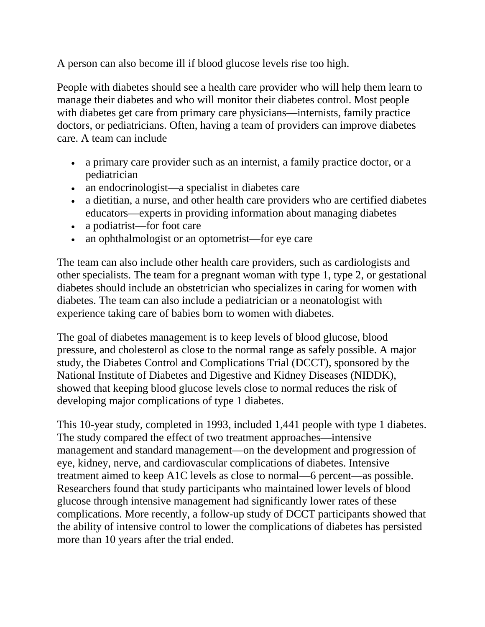A person can also become ill if blood glucose levels rise too high.

People with diabetes should see a health care provider who will help them learn to manage their diabetes and who will monitor their diabetes control. Most people with diabetes get care from primary care physicians—internists, family practice doctors, or pediatricians. Often, having a team of providers can improve diabetes care. A team can include

- a primary care provider such as an internist, a family practice doctor, or a pediatrician
- an endocrinologist—a specialist in diabetes care
- a dietitian, a nurse, and other health care providers who are certified diabetes educators—experts in providing information about managing diabetes
- a podiatrist—for foot care
- an ophthalmologist or an optometrist—for eye care

The team can also include other health care providers, such as cardiologists and other specialists. The team for a pregnant woman with type 1, type 2, or gestational diabetes should include an obstetrician who specializes in caring for women with diabetes. The team can also include a pediatrician or a neonatologist with experience taking care of babies born to women with diabetes.

The goal of diabetes management is to keep levels of blood glucose, blood pressure, and cholesterol as close to the normal range as safely possible. A major study, the Diabetes Control and Complications Trial (DCCT), sponsored by the National Institute of Diabetes and Digestive and Kidney Diseases (NIDDK), showed that keeping blood glucose levels close to normal reduces the risk of developing major complications of type 1 diabetes.

This 10-year study, completed in 1993, included 1,441 people with type 1 diabetes. The study compared the effect of two treatment approaches—intensive management and standard management—on the development and progression of eye, kidney, nerve, and cardiovascular complications of diabetes. Intensive treatment aimed to keep A1C levels as close to normal—6 percent—as possible. Researchers found that study participants who maintained lower levels of blood glucose through intensive management had significantly lower rates of these complications. More recently, a follow-up study of DCCT participants showed that the ability of intensive control to lower the complications of diabetes has persisted more than 10 years after the trial ended.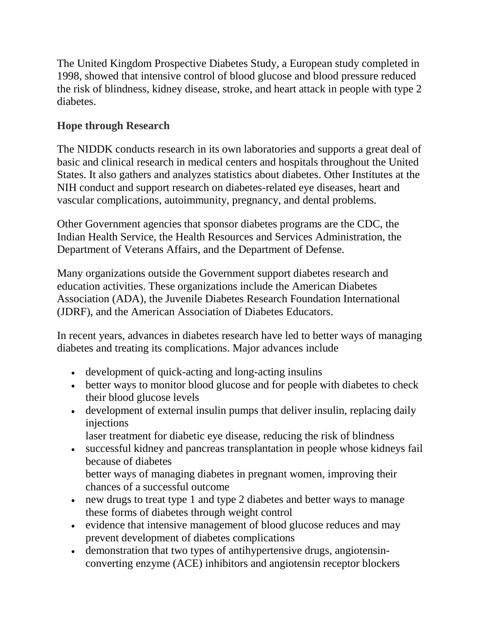The United Kingdom Prospective Diabetes Study, a European study completed in 1998, showed that intensive control of blood glucose and blood pressure reduced the risk of blindness, kidney disease, stroke, and heart attack in people with type 2 diabetes.

# **Hope through Research**

The NIDDK conducts research in its own laboratories and supports a great deal of basic and clinical research in medical centers and hospitals throughout the United States. It also gathers and analyzes statistics about diabetes. Other Institutes at the NIH conduct and support research on diabetes-related eye diseases, heart and vascular complications, autoimmunity, pregnancy, and dental problems.

Other Government agencies that sponsor diabetes programs are the CDC, the Indian Health Service, the Health Resources and Services Administration, the Department of Veterans Affairs, and the Department of Defense.

Many organizations outside the Government support diabetes research and education activities. These organizations include the American Diabetes Association (ADA), the Juvenile Diabetes Research Foundation International (JDRF), and the American Association of Diabetes Educators.

In recent years, advances in diabetes research have led to better ways of managing diabetes and treating its complications. Major advances include

- development of quick-acting and long-acting insulins
- better ways to monitor blood glucose and for people with diabetes to check their blood glucose levels
- development of external insulin pumps that deliver insulin, replacing daily injections
	- laser treatment for diabetic eye disease, reducing the risk of blindness
- successful kidney and pancreas transplantation in people whose kidneys fail because of diabetes better ways of managing diabetes in pregnant women, improving their
	- chances of a successful outcome
- new drugs to treat type 1 and type 2 diabetes and better ways to manage these forms of diabetes through weight control
- evidence that intensive management of blood glucose reduces and may prevent development of diabetes complications
- demonstration that two types of antihypertensive drugs, angiotensinconverting enzyme (ACE) inhibitors and angiotensin receptor blockers